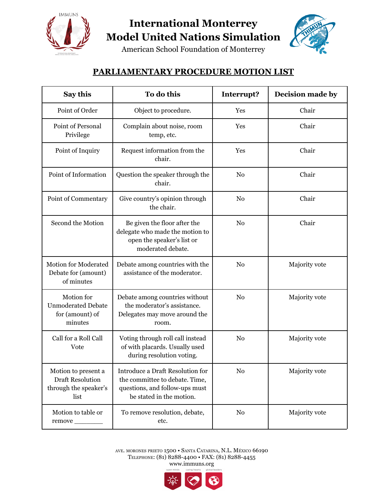

## **International Monterrey Model United Nations Simulation**

American School Foundation of Monterrey

## **PARLIAMENTARY PROCEDURE MOTION LIST**

| Say this                                                                        | To do this                                                                                                                              | Interrupt?     | Decision made by |
|---------------------------------------------------------------------------------|-----------------------------------------------------------------------------------------------------------------------------------------|----------------|------------------|
| Point of Order                                                                  | Object to procedure.                                                                                                                    | Yes            | Chair            |
| Point of Personal<br>Privilege                                                  | Complain about noise, room<br>temp, etc.                                                                                                | Yes            | Chair            |
| Point of Inquiry                                                                | Request information from the<br>chair.                                                                                                  | Yes            | Chair            |
| Point of Information                                                            | Question the speaker through the<br>chair.                                                                                              | N <sub>0</sub> | Chair            |
| Point of Commentary                                                             | Give country's opinion through<br>the chair.                                                                                            | N <sub>0</sub> | Chair            |
| Second the Motion                                                               | Be given the floor after the<br>delegate who made the motion to<br>open the speaker's list or<br>moderated debate.                      | N <sub>0</sub> | Chair            |
| Motion for Moderated<br>Debate for (amount)<br>of minutes                       | Debate among countries with the<br>assistance of the moderator.                                                                         | N <sub>0</sub> | Majority vote    |
| Motion for<br><b>Unmoderated Debate</b><br>for (amount) of<br>minutes           | Debate among countries without<br>the moderator's assistance.<br>Delegates may move around the<br>room.                                 | N <sub>0</sub> | Majority vote    |
| Call for a Roll Call<br>Vote                                                    | Voting through roll call instead<br>of with placards. Usually used<br>during resolution voting.                                         | N <sub>0</sub> | Majority vote    |
| Motion to present a<br><b>Draft Resolution</b><br>through the speaker's<br>list | <b>Introduce a Draft Resolution for</b><br>the committee to debate. Time,<br>questions, and follow-ups must<br>be stated in the motion. | No             | Majority vote    |
| Motion to table or<br>remove _________                                          | To remove resolution, debate,<br>etc.                                                                                                   | $\rm No$       | Majority vote    |

AVE. MORONES PRIETO 1500 • SANTA CATARINA, N.L. MÉXICO 66190 TELEPHONE: (81) 8288-4400 • FAX: (81) 8288-4455 www.immuns.org